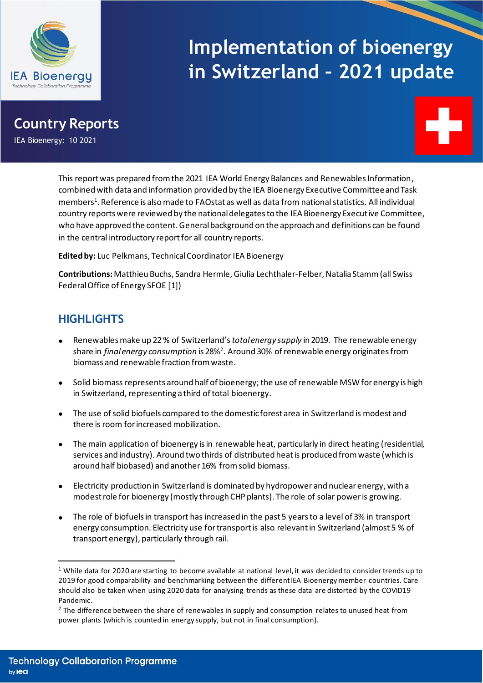

# **Implementation of bioenergy in Switzerland – 2021 update**

# **Country Reports**

IEA Bioenergy: 10 2021



This report was prepared from the 2021 IEA World Energy Balances and Renewables Information, combined with data and information provided by the IEA Bioenergy Executive Committee and Task members $^1$ . Reference is also made to FAOstat as well as data from national statistics. All individual country reports were reviewed by the national delegates to the IEA Bioenergy Executive Committee, who have approved the content. General background on the approach and definitions can be found in the central introductory report for all country reports.

**Edited by:** Luc Pelkmans, Technical Coordinator IEA Bioenergy

**Contributions:**Matthieu Buchs, Sandra Hermle, Giulia Lechthaler-Felber, Natalia Stamm (all Swiss Federal Office of Energy SFOE [1])

# **HIGHLIGHTS**

- Renewables make up 22 % of Switzerland's *total energy supply* in 2019. The renewable energy share in *final energy consumption* is 28%<sup>2</sup> . Around 30% of renewable energy originatesfrom biomass and renewable fraction from waste.
- Solid biomass represents around half of bioenergy; the use of renewable MSW for energy is high in Switzerland, representing a third of total bioenergy.
- The use of solid biofuels compared to the domestic forest area in Switzerland is modest and there is room for increased mobilization.
- The main application of bioenergy is in renewable heat, particularly in direct heating (residential, services and industry). Around two thirds of distributed heat is produced from waste (which is around half biobased) and another 16% from solid biomass.
- Electricity production in Switzerland is dominated by hydropower and nuclear energy, with a modest role for bioenergy (mostly through CHP plants). The role of solar power is growing.
- The role of biofuels in transport has increased in the past 5 years to a level of 3% in transport energy consumption. Electricity use for transport is also relevant in Switzerland (almost 5 % of transport energy), particularly through rail.

<sup>&</sup>lt;sup>1</sup> While data for 2020 are starting to become available at national level, it was decided to consider trends up to 2019 for good comparability and benchmarking between the different IEA Bioenergy member countries. Care should also be taken when using 2020 data for analysing trends as these data are distorted by the COVID19 Pandemic.

<sup>&</sup>lt;sup>2</sup> The difference between the share of renewables in supply and consumption relates to unused heat from power plants (which is counted in energy supply, but not in final consumption).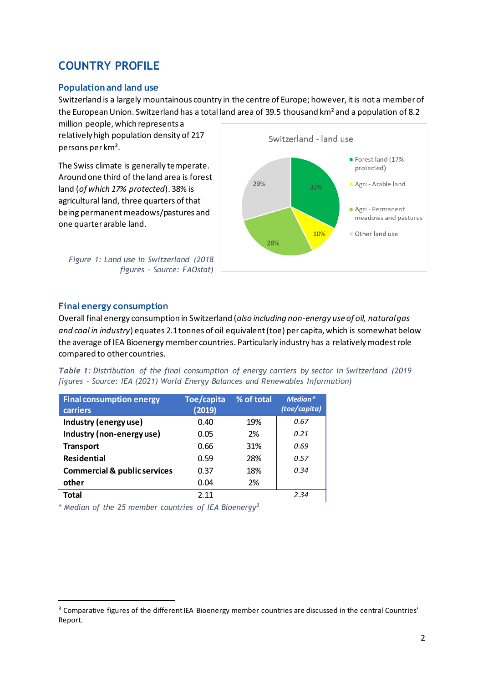# **COUNTRY PROFILE**

#### **Population and land use**

Switzerland is a largely mountainous country in the centre of Europe; however, it is not a member of the European Union. Switzerland has a total land area of 39.5 thousand km<sup>2</sup> and a population of 8.2

million people, which represents a relatively high population density of 217 persons per km².

The Swiss climate is generally temperate. Around one third of the land area is forest land (*of which 17% protected*). 38% is agricultural land, three quarters of that being permanent meadows/pastures and one quarter arable land.

*Figure 1: Land use in Switzerland (2018 figures - Source: FAOstat)*



#### **Final energy consumption**

Overall final energy consumption in Switzerland (*also including non-energy use of oil, natural gas and coal in industry*) equates 2.1 tonnes of oil equivalent (toe) per capita, which is somewhat below the average of IEA Bioenergy member countries. Particularly industry has a relatively modest role compared to other countries.

*Table 1: Distribution of the final consumption of energy carriers by sector in Switzerland (2019 figures - Source: IEA (2021) World Energy Balances and Renewables Information)*

| <b>Final consumption energy</b>         | Toe/capita | % of total | Median*      |
|-----------------------------------------|------------|------------|--------------|
| carriers                                | (2019)     |            | (toe/capita) |
| Industry (energy use)                   | 0.40       | 19%        | 0.67         |
| Industry (non-energy use)               | 0.05       | 2%         | 0.21         |
| <b>Transport</b>                        | 0.66       | 31%        | 0.69         |
| <b>Residential</b>                      | 0.59       | 28%        | 0.57         |
| <b>Commercial &amp; public services</b> | 0.37       | 18%        | 0.34         |
| other                                   | 0.04       | 2%         |              |
| Total                                   | 2.11       |            | 2.34         |

*\* Median of the 25 member countries of IEA Bioenergy<sup>3</sup>*

<sup>3</sup> Comparative figures of the different IEA Bioenergy member countries are discussed in the central Countries' Report.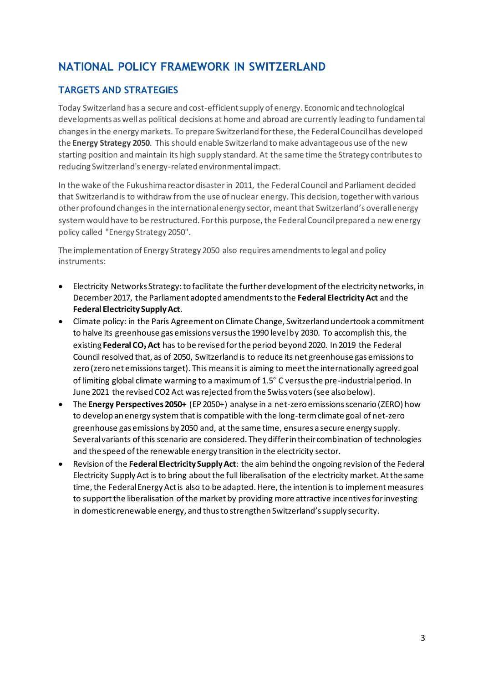## **NATIONAL POLICY FRAMEWORK IN SWITZERLAND**

### **TARGETS AND STRATEGIES**

Today Switzerland has a secure and cost-efficient supply of energy. Economic and technological developments as well as political decisions at home and abroad are currently leading to fundamental changes in the energy markets. To prepare Switzerland for these, the Federal Council has developed the **Energy Strategy 2050**. This should enable Switzerland to make advantageous use of the new starting position and maintain its high supply standard. At the same time the Strategy contributes to reducing Switzerland's energy-related environmental impact.

In the wake of the Fukushima reactor disaster in 2011, the Federal Council and Parliament decided that Switzerland is to withdraw from the use of nuclear energy. This decision, together with various other profound changes in the international energy sector, meant that Switzerland's overall energy system would have to be restructured. For this purpose, the Federal Council prepared a new energy policy called "Energy Strategy 2050".

The implementation of Energy Strategy 2050 also requires amendments to legal and policy instruments:

- Electricity Networks Strategy: to facilitate the further development of the electricity networks, in December 2017, the Parliament adopted amendments to the **Federal Electricity Act** and the **Federal Electricity Supply Act**.
- Climate policy: in the Paris Agreement on Climate Change, Switzerland undertook a commitment to halve its greenhouse gas emissions versus the 1990 level by 2030. To accomplish this, the existing **Federal CO<sup>2</sup> Act** has to be revised for the period beyond 2020. In 2019 the Federal Council resolved that, as of 2050, Switzerland is to reduce its net greenhouse gas emissions to zero (zero net emissions target). This means it is aiming to meet the internationally agreed goal of limiting global climate warming to a maximum of 1.5° C versus the pre-industrial period. In June 2021 the revised CO2 Act was rejected from the Swiss voters (see also below).
- The **Energy Perspectives 2050+** (EP 2050+) analyse in a net-zero emissions scenario (ZERO) how to develop an energy system that is compatible with the long-term climate goal of net-zero greenhouse gas emissions by 2050 and, at the same time, ensures a secure energy supply. Several variants of this scenario are considered. They differ in their combination of technologies and the speed of the renewable energy transition in the electricity sector.
- Revision of the **Federal Electricity Supply Act**: the aim behind the ongoing revision of the Federal Electricity Supply Act is to bring about the full liberalisation of the electricity market. At the same time, the Federal Energy Act is also to be adapted. Here, the intention is to implement measures to support the liberalisation of the market by providing more attractive incentives for investing in domestic renewable energy, and thus to strengthen Switzerland's supply security.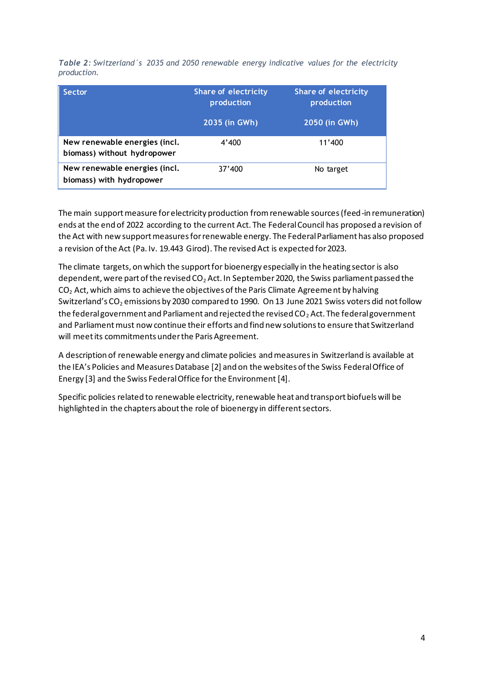*Table 2: Switzerland´s 2035 and 2050 renewable energy indicative values for the electricity production.* 

| <b>Sector</b>                                                | <b>Share of electricity</b><br>production | <b>Share of electricity</b><br>production |  |
|--------------------------------------------------------------|-------------------------------------------|-------------------------------------------|--|
|                                                              | 2035 (in GWh)                             | 2050 (in GWh)                             |  |
| New renewable energies (incl.<br>biomass) without hydropower | 4'400                                     | 11'400                                    |  |
| New renewable energies (incl.<br>biomass) with hydropower    | 37'400                                    | No target                                 |  |

The main support measure for electricity production from renewable sources (feed-in remuneration) ends at the end of 2022 according to the current Act. The Federal Council has proposed a revision of the Act with new support measures for renewable energy. The Federal Parliament has also proposed a revision of the Act (Pa. Iv. 19.443 Girod). The revised Act is expected for 2023.

The climate targets, on which the support for bioenergy especially in the heating sector is also dependent, were part of the revised  $CO<sub>2</sub>$  Act. In September 2020, the Swiss parliament passed the  $CO<sub>2</sub>$  Act, which aims to achieve the objectives of the Paris Climate Agreement by halving Switzerland's CO<sub>2</sub> emissions by 2030 compared to 1990. On 13 June 2021 Swiss voters did not follow the federal government and Parliament and rejected the revised  $CO<sub>2</sub>$  Act. The federal government and Parliament must now continue their efforts and find new solutions to ensure that Switzerland will meet its commitments under the Paris Agreement.

A description of renewable energy and climate policies and measures in Switzerland is available at the IEA's Policies and Measures Database [2] and on the websites of the Swiss Federal Office of Energy [3] and the Swiss Federal Office for the Environment [4].

Specific policies related to renewable electricity, renewable heat and transport biofuels will be highlighted in the chapters about the role of bioenergy in different sectors.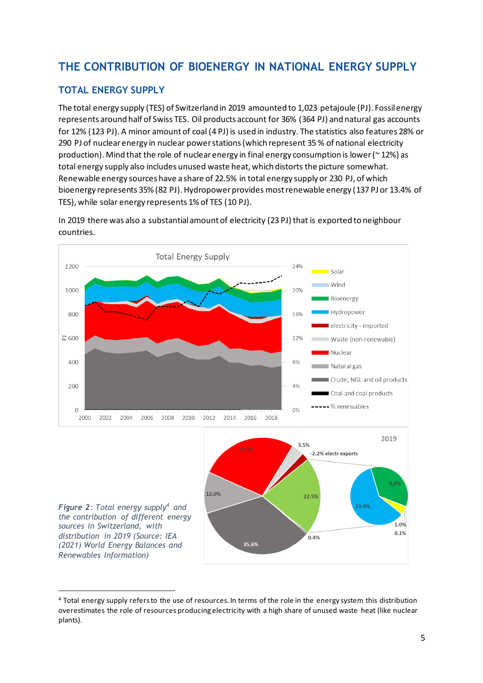# **THE CONTRIBUTION OF BIOENERGY IN NATIONAL ENERGY SUPPLY**

### **TOTAL ENERGY SUPPLY**

The total energy supply (TES) of Switzerland in 2019 amounted to 1,023 petajoule (PJ). Fossil energy represents around half of Swiss TES. Oil products account for 36% (364 PJ) and natural gas accounts for 12% (123 PJ). A minor amount of coal (4 PJ) is used in industry. The statistics also features 28% or 290 PJ of nuclear energy in nuclear power stations (which represent 35 % of national electricity production). Mind that the role of nuclear energy in final energy consumption is lower (~ 12%) as total energy supply also includes unused waste heat, which distorts the picture somewhat. Renewable energy sources have a share of 22.5% in total energy supply or 230 PJ, of which bioenergy represents 35% (82 PJ). Hydropower provides most renewable energy (137 PJ or 13.4% of TES), while solar energy represents 1% of TES (10 PJ).

In 2019 there was also a substantial amount of electricity (23 PJ) that is exported to neighbour countries.



<sup>4</sup> Total energy supply refers to the use of resources. In terms of the role in the energy system this distribution overestimates the role of resources producing electricity with a high share of unused waste heat (like nuclear plants).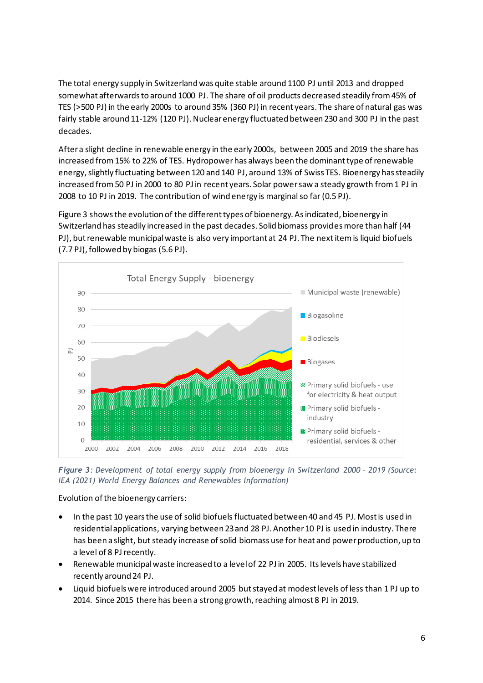The total energy supply in Switzerland was quite stable around 1100 PJ until 2013 and dropped somewhat afterwards to around 1000 PJ. The share of oil products decreased steadily from 45% of TES (>500 PJ) in the early 2000s to around 35% (360 PJ) in recent years. The share of natural gas was fairly stable around 11-12% (120 PJ). Nuclear energy fluctuated between 230 and 300 PJ in the past decades.

After a slight decline in renewable energy in the early 2000s, between 2005 and 2019 the share has increased from 15% to 22% of TES. Hydropower has always been the dominant type of renewable energy, slightly fluctuating between 120 and 140 PJ, around 13% of Swiss TES. Bioenergy has steadily increased from 50 PJ in 2000 to 80 PJ in recent years. Solar power saw a steady growth from 1 PJ in 2008 to 10 PJ in 2019. The contribution of wind energy is marginal so far (0.5 PJ).

Figure 3 shows the evolution of the different types of bioenergy. As indicated, bioenergy in Switzerland has steadily increased in the past decades. Solid biomass provides more than half (44 PJ), but renewable municipal waste is also very important at 24 PJ. The next item is liquid biofuels (7.7 PJ), followed by biogas (5.6 PJ).



*Figure 3: Development of total energy supply from bioenergy in Switzerland 2000 – 2019 (Source: IEA (2021) World Energy Balances and Renewables Information)*

Evolution of the bioenergy carriers:

- In the past 10 years the use of solid biofuels fluctuated between 40 and 45 PJ. Most is used in residential applications, varying between 23 and 28 PJ. Another 10 PJ is used in industry. There has been a slight, but steady increase of solid biomass use for heat and power production, up to a level of 8 PJ recently.
- Renewable municipal waste increased to a level of 22 PJ in 2005. Its levels have stabilized recently around 24 PJ.
- Liquid biofuels were introduced around 2005 butstayed at modest levels of less than 1 PJ up to 2014. Since 2015 there has been a strong growth, reaching almost 8 PJ in 2019.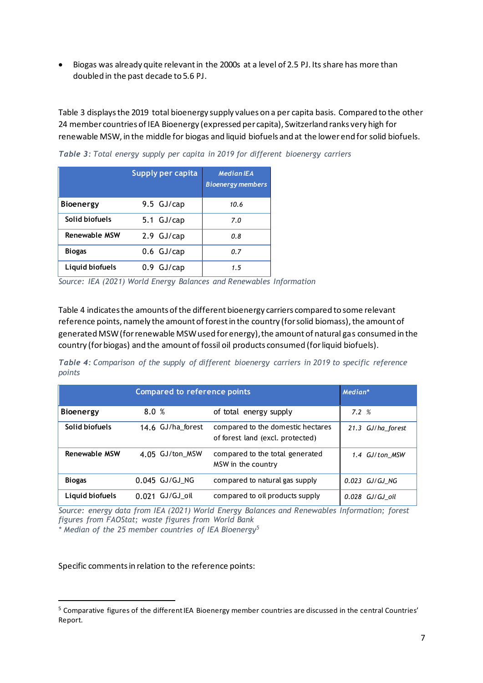• Biogas was already quite relevant in the 2000s at a level of 2.5 PJ. Its share has more than doubled in the past decade to 5.6 PJ.

Table 3 displays the 2019 total bioenergy supply values on a per capita basis. Compared to the other 24 member countries of IEA Bioenergy (expressed per capita), Switzerland ranks very high for renewable MSW, in the middle for biogas and liquid biofuels and at the lower end for solid biofuels.

|                      | <b>Supply per capita</b> | <b>Median IEA</b><br><b>Bioenergy members</b> |
|----------------------|--------------------------|-----------------------------------------------|
| <b>Bioenergy</b>     | 9.5 GJ/cap               | 10.6                                          |
| Solid biofuels       | $5.1 \,$ GJ/cap          | 7.0                                           |
| <b>Renewable MSW</b> | $2.9$ GJ/cap             | 0.8                                           |
| <b>Biogas</b>        | $0.6$ GJ/cap             | 0.7                                           |
| Liquid biofuels      | 0.9 <sub>5</sub> /cap    | 1.5                                           |

*Table 3: Total energy supply per capita in 2019 for different bioenergy carriers* 

*Source: IEA (2021) World Energy Balances and Renewables Information*

Table 4 indicates the amounts of the different bioenergy carriers compared to some relevant reference points, namely the amount of forest in the country (for solid biomass), the amount of generated MSW (for renewable MSW used for energy), the amount of natural gas consumed in the country (for biogas) and the amount of fossil oil products consumed (for liquid biofuels).

*Table 4: Comparison of the supply of different bioenergy carriers in 2019 to specific reference points*

|                  | <b>Compared to reference points</b> |                                                                       |                   |
|------------------|-------------------------------------|-----------------------------------------------------------------------|-------------------|
| <b>Bioenergy</b> | 8.0%                                | of total energy supply                                                | 7.2%              |
| Solid biofuels   | 14.6 GJ/ha forest                   | compared to the domestic hectares<br>of forest land (excl. protected) | 21.3 GJ/ha_forest |
| Renewable MSW    | 4.05 GJ/ton MSW                     | compared to the total generated<br>MSW in the country                 | 1.4 GJ/ton MSW    |
| <b>Biogas</b>    | 0.045 GJ/GJ NG                      | compared to natural gas supply                                        | 0.023 GJ/GJ NG    |
| Liquid biofuels  | $0.021$ GJ/GJ oil                   | compared to oil products supply                                       | $0.028$ GJ/GJ oil |

*Source: energy data from IEA (2021) World Energy Balances and Renewables Information; forest figures from FAOStat; waste figures from World Bank*

*\* Median of the 25 member countries of IEA Bioenergy<sup>5</sup>*

Specific comments in relation to the reference points:

<sup>5</sup> Comparative figures of the different IEA Bioenergy member countries are discussed in the central Countries' Report.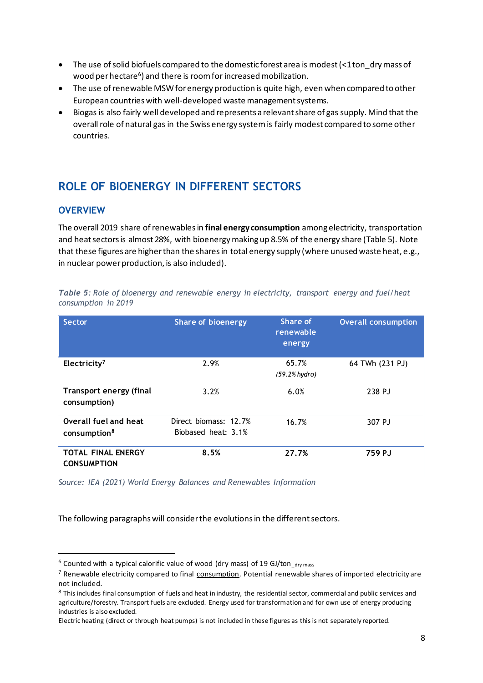- The use of solid biofuels compared to the domestic forest area is modest (<1 ton\_dry mass of wood per hectare $^6$ ) and there is room for increased mobilization.
- The use of renewable MSW for energy production is quite high, even when compared to other European countries with well-developed waste management systems.
- Biogas is also fairly well developed and represents a relevant share of gas supply. Mind that the overall role of natural gas in the Swiss energy system is fairly modest compared to some other countries.

# **ROLE OF BIOENERGY IN DIFFERENT SECTORS**

### **OVERVIEW**

The overall 2019 share of renewables in **final energy consumption** among electricity, transportation and heat sectors is almost 28%, with bioenergy making up 8.5% of the energy share (Table 5). Note that these figures are higher than the shares in total energy supply (where unused waste heat, e.g., in nuclear power production, is also included).

| Table 5: Role of bioenergy and renewable energy in electricity, transport energy and fuel/heat |  |  |  |  |
|------------------------------------------------------------------------------------------------|--|--|--|--|
| consumption in 2019                                                                            |  |  |  |  |

| <b>Sector</b>                                     | <b>Share of bioenergy</b>                    | Share of<br>renewable<br>energy | <b>Overall consumption</b> |
|---------------------------------------------------|----------------------------------------------|---------------------------------|----------------------------|
| Electricity <sup>7</sup>                          | 2.9%                                         | 65.7%<br>$(59.2%$ hydro)        | 64 TWh (231 PJ)            |
| <b>Transport energy (final</b><br>consumption)    | 3.2%                                         | 6.0%                            | 238 PJ                     |
| Overall fuel and heat<br>consumption <sup>8</sup> | Direct biomass: 12.7%<br>Biobased heat: 3.1% | 16.7%                           | 307 PJ                     |
| <b>TOTAL FINAL ENERGY</b><br><b>CONSUMPTION</b>   | 8.5%                                         | 27.7%                           | 759 PJ                     |

*Source: IEA (2021) World Energy Balances and Renewables Information*

The following paragraphs will consider the evolutions in the different sectors.

 $6$  Counted with a typical calorific value of wood (dry mass) of 19 GJ/ton\_dry mass

<sup>7</sup> Renewable electricity compared to final consumption. Potential renewable shares of imported electricity are not included.

<sup>8</sup> This includes final consumption of fuels and heat in industry, the residential sector, commercial and public services and agriculture/forestry. Transport fuels are excluded. Energy used for transformation and for own use of energy producing industries is also excluded.

Electric heating (direct or through heat pumps) is not included in these figures as this is not separately reported.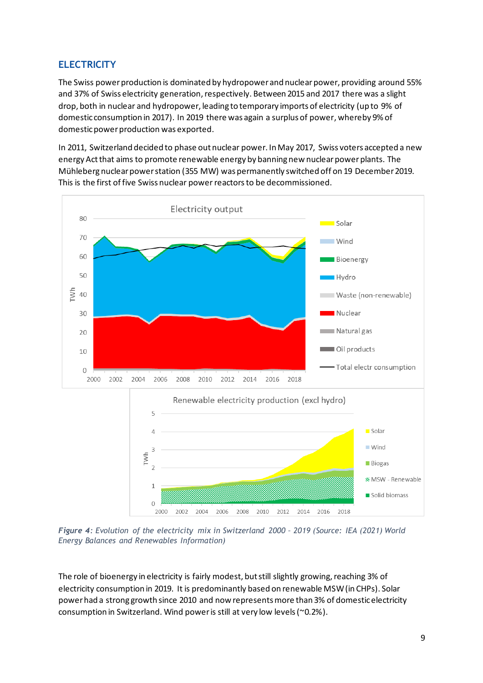### **ELECTRICITY**

The Swiss power production is dominated by hydropower and nuclear power, providing around 55% and 37% of Swiss electricity generation, respectively. Between 2015 and 2017 there was a slight drop, both in nuclear and hydropower, leading to temporary imports of electricity (up to 9% of domestic consumption in 2017). In 2019 there was again a surplus of power, whereby 9% of domestic power production was exported.

In 2011, Switzerland decided to phase out nuclear power. In May 2017, Swiss voters accepted a new energy Act that aims to promote renewable energy by banning new nuclear power plants. The Mühleberg nuclear power station (355 MW) was permanently switched off on 19 December 2019. This is the first of five Swiss nuclear power reactorsto be decommissioned.



*Figure 4: Evolution of the electricity mix in Switzerland 2000 – 2019 (Source: IEA (2021) World Energy Balances and Renewables Information)*

The role of bioenergy in electricity is fairly modest, but still slightly growing, reaching 3% of electricity consumption in 2019. It is predominantly based on renewable MSW (in CHPs). Solar power had a strong growth since 2010 and now represents more than 3% of domestic electricity consumption in Switzerland. Wind power is still at very low levels (~0.2%).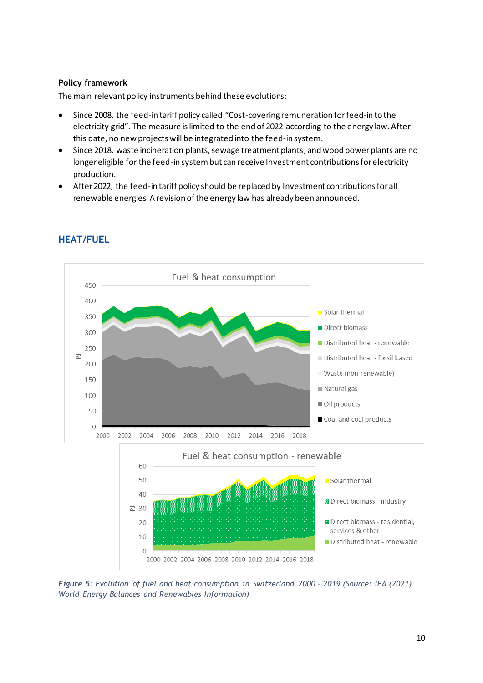#### **Policy framework**

The main relevant policy instruments behind these evolutions:

- Since 2008, the feed-in tariff policy called "Cost-covering remuneration for feed-in to the electricity grid". The measure is limited to the end of 2022 according to the energy law. After this date, no new projects will be integrated into the feed-in system.
- Since 2018, waste incineration plants, sewage treatment plants, and wood power plants are no longer eligible for the feed-in system but can receive Investment contributions for electricity production.
- After 2022, the feed-in tariff policy should be replaced by Investment contributions for all renewable energies. A revision of the energy law has already been announced.



#### **HEAT/FUEL**

*Figure 5: Evolution of fuel and heat consumption in Switzerland 2000 – 2019 (Source: IEA (2021) World Energy Balances and Renewables Information)*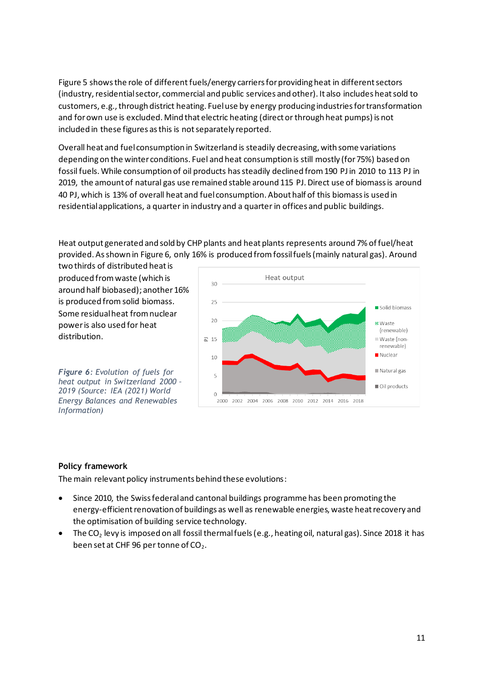Figure 5 shows the role of different fuels/energy carriers for providing heat in different sectors (industry, residential sector, commercial and public services and other). It also includes heat sold to customers, e.g., through district heating. Fuel use by energy producing industries for transformation and for own use is excluded. Mind that electric heating (direct or through heat pumps) is not included in these figures as this is not separately reported.

Overall heat and fuel consumption in Switzerland is steadily decreasing, with some variations depending on the winter conditions. Fuel and heat consumption is still mostly (for 75%) based on fossil fuels. While consumption of oil products has steadily declined from 190 PJ in 2010 to 113 PJ in 2019, the amount of natural gas use remained stable around 115 PJ. Direct use of biomass is around 40 PJ, which is 13% of overall heat and fuel consumption. About half of this biomass is used in residential applications, a quarter in industry and a quarter in offices and public buildings.

Heat output generated and sold by CHP plants and heat plants represents around 7% of fuel/heat provided. As shown in Figure 6, only 16% is produced from fossil fuels (mainly natural gas). Around

two thirds of distributed heat is produced from waste (which is around half biobased); another 16% is produced from solid biomass. Some residual heat from nuclear power is also used for heat distribution.

*Figure 6: Evolution of fuels for heat output in Switzerland 2000 – 2019 (Source: IEA (2021) World Energy Balances and Renewables Information)*



#### **Policy framework**

The main relevant policy instruments behind these evolutions:

- Since 2010, the Swiss federal and cantonal buildings programme has been promoting the energy-efficient renovation of buildings as well as renewable energies, waste heat recovery and the optimisation of building service technology.
- The CO<sub>2</sub> levy is imposed on all fossil thermal fuels (e.g., heating oil, natural gas). Since 2018 it has been set at CHF 96 per tonne of  $CO<sub>2</sub>$ .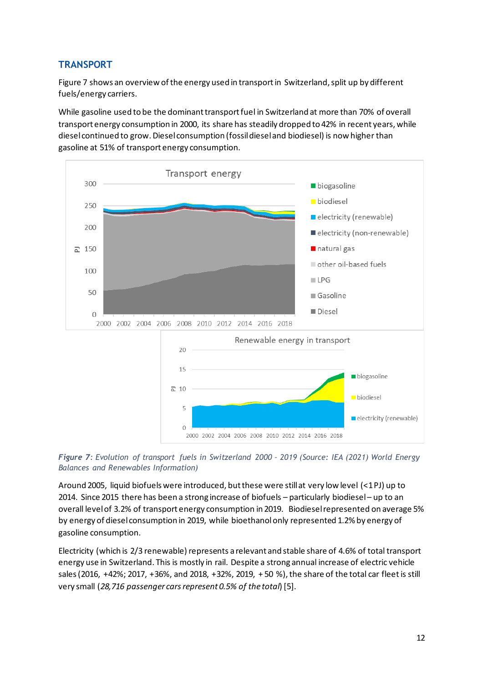### **TRANSPORT**

Figure 7 shows an overview of the energy used in transport in Switzerland, split up by different fuels/energy carriers.

While gasoline used to be the dominant transport fuel in Switzerland at more than 70% of overall transport energy consumption in 2000, its share has steadily dropped to 42% in recent years, while diesel continued to grow. Diesel consumption (fossil diesel and biodiesel) is now higher than gasoline at 51% of transport energy consumption.





Around 2005, liquid biofuels were introduced, but these were still at very low level (<1 PJ) up to 2014. Since 2015 there has been a strong increase of biofuels – particularly biodiesel – up to an overall level of 3.2% of transport energy consumption in 2019. Biodiesel represented on average 5% by energy of diesel consumption in 2019, while bioethanolonly represented 1.2% by energy of gasoline consumption.

Electricity (which is 2/3 renewable) represents a relevant and stable share of 4.6% of total transport energy use in Switzerland. This is mostly in rail. Despite a strong annual increase of electric vehicle sales(2016, +42%; 2017, +36%, and 2018, +32%, 2019, + 50 %), the share of the total car fleetis still very small (*28,716 passenger cars represent 0.5% of the total*) [5].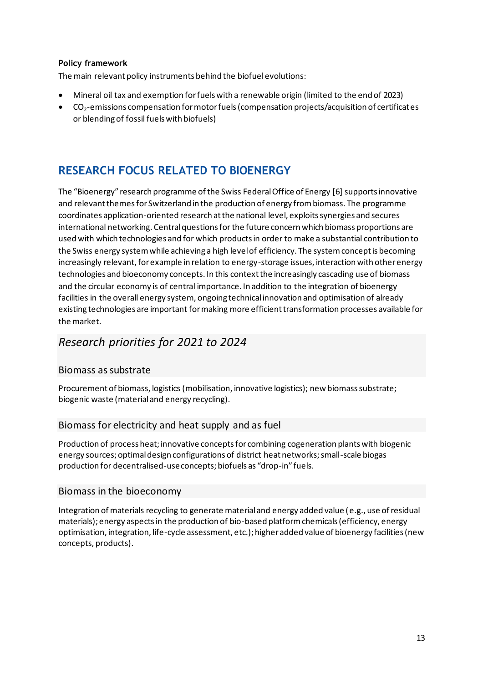#### **Policy framework**

The main relevant policy instruments behind the biofuelevolutions:

- Mineral oil tax and exemption for fuels with a renewable origin (limited to the end of 2023)
- CO2-emissions compensation for motor fuels (compensation projects/acquisition of certificates or blending of fossil fuels with biofuels)

# **RESEARCH FOCUS RELATED TO BIOENERGY**

The "Bioenergy" research programme of the Swiss Federal Office of Energy [6] supports innovative and relevant themes for Switzerland in the production of energy from biomass. The programme coordinates application-oriented research at the national level, exploits synergies and secures international networking. Central questions forthe future concern which biomass proportions are used with which technologies and for which products in order to make a substantial contribution to the Swiss energy system while achieving a high level of efficiency. The system concept is becoming increasingly relevant, for example in relation to energy-storage issues, interaction with other energy technologies and bioeconomy concepts. In this context the increasingly cascading use of biomass and the circular economy is of central importance. In addition to the integration of bioenergy facilities in the overall energy system, ongoing technical innovation and optimisation of already existing technologies are important for making more efficient transformation processes available for the market.

### *Research priorities for 2021 to 2024*

### Biomass as substrate

Procurement of biomass, logistics (mobilisation, innovative logistics); new biomass substrate; biogenic waste (material and energy recycling).

#### Biomass for electricity and heat supply and as fuel

Production of process heat; innovative concepts for combining cogeneration plants with biogenic energy sources; optimal design configurations of district heat networks; small-scale biogas production for decentralised-use concepts; biofuels as "drop-in" fuels.

#### Biomass in the bioeconomy

Integration of materials recycling to generate material and energy added value (e.g., use of residual materials); energy aspects in the production of bio-based platform chemicals (efficiency, energy optimisation, integration, life-cycle assessment, etc.); higher added value of bioenergy facilities (new concepts, products).